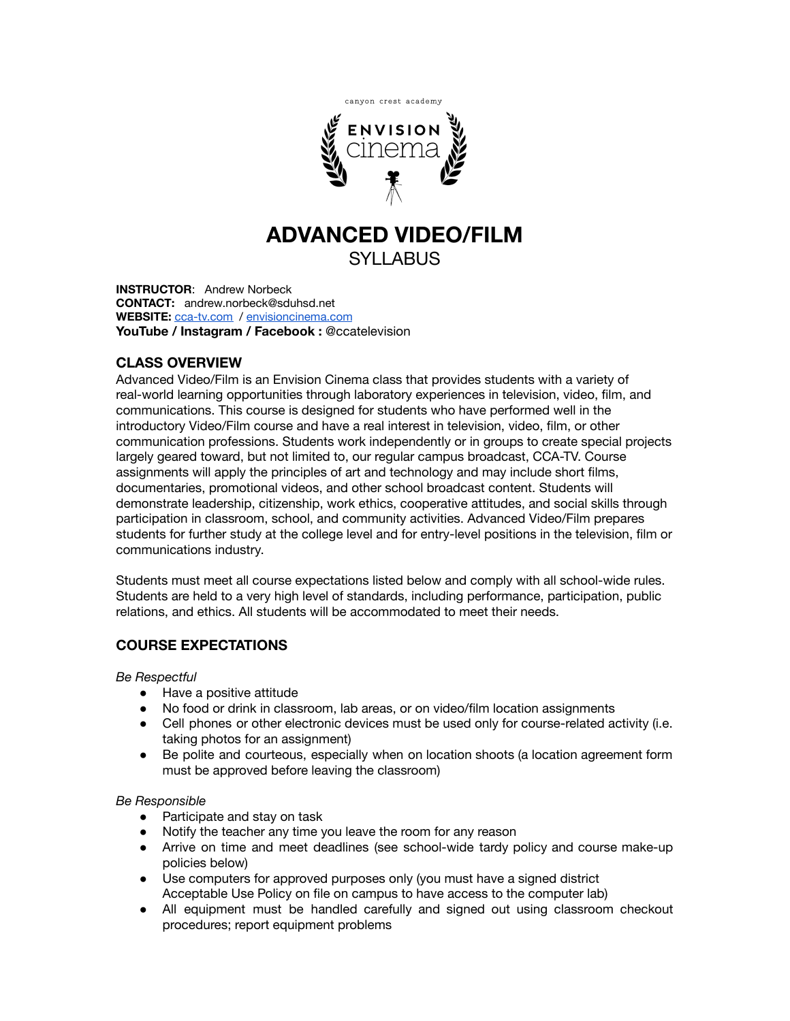

# **ADVANCED VIDEO/FILM** SYLLABUS

**INSTRUCTOR**: Andrew Norbeck **CONTACT:** andrew.norbeck@sduhsd.net **WEBSITE:** [cca-tv.com](http://cca-tv.com) / [envisioncinema.com](http://www.envisioncinema.com/) **YouTube / Instagram / Facebook :** @ccatelevision

# **CLASS OVERVIEW**

Advanced Video/Film is an Envision Cinema class that provides students with a variety of real-world learning opportunities through laboratory experiences in television, video, film, and communications. This course is designed for students who have performed well in the introductory Video/Film course and have a real interest in television, video, film, or other communication professions. Students work independently or in groups to create special projects largely geared toward, but not limited to, our regular campus broadcast, CCA-TV. Course assignments will apply the principles of art and technology and may include short films, documentaries, promotional videos, and other school broadcast content. Students will demonstrate leadership, citizenship, work ethics, cooperative attitudes, and social skills through participation in classroom, school, and community activities. Advanced Video/Film prepares students for further study at the college level and for entry-level positions in the television, film or communications industry.

Students must meet all course expectations listed below and comply with all school-wide rules. Students are held to a very high level of standards, including performance, participation, public relations, and ethics. All students will be accommodated to meet their needs.

# **COURSE EXPECTATIONS**

#### *Be Respectful*

- Have a positive attitude
- No food or drink in classroom, lab areas, or on video/film location assignments
- Cell phones or other electronic devices must be used only for course-related activity (i.e. taking photos for an assignment)
- Be polite and courteous, especially when on location shoots (a location agreement form must be approved before leaving the classroom)

#### *Be Responsible*

- Participate and stay on task
- Notify the teacher any time you leave the room for any reason
- Arrive on time and meet deadlines (see school-wide tardy policy and course make-up policies below)
- Use computers for approved purposes only (you must have a signed district Acceptable Use Policy on file on campus to have access to the computer lab)
- All equipment must be handled carefully and signed out using classroom checkout procedures; report equipment problems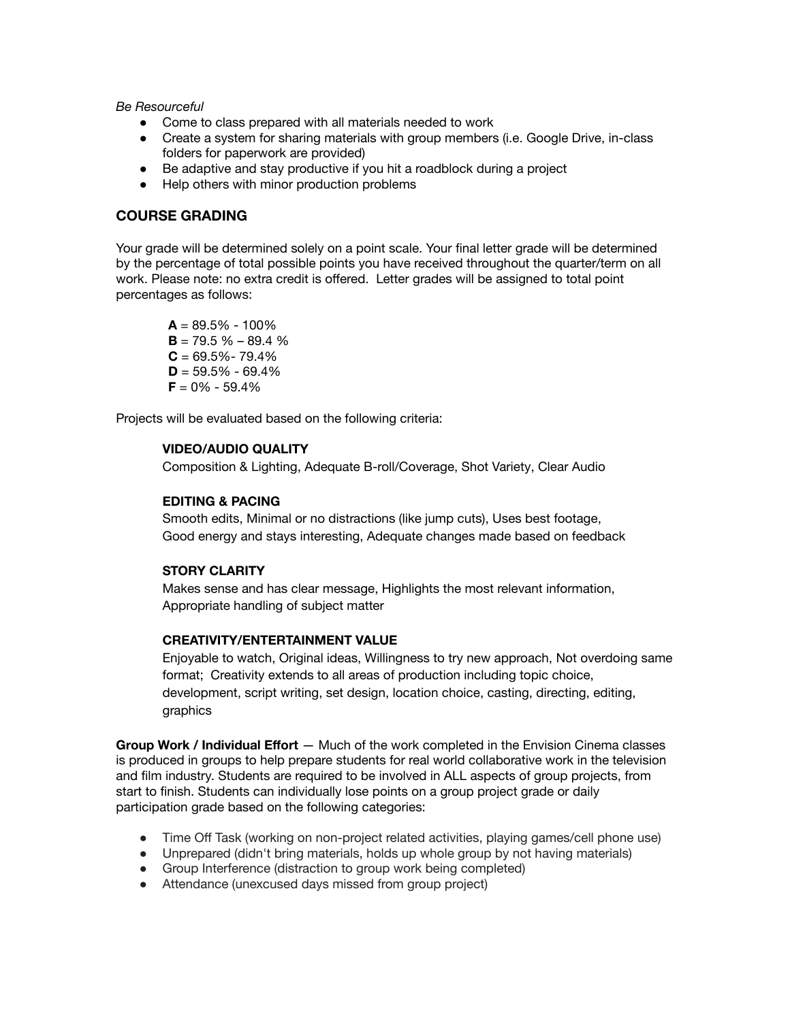*Be Resourceful*

- Come to class prepared with all materials needed to work
- Create a system for sharing materials with group members (i.e. Google Drive, in-class folders for paperwork are provided)
- Be adaptive and stay productive if you hit a roadblock during a project
- Help others with minor production problems

#### **COURSE GRADING**

Your grade will be determined solely on a point scale. Your final letter grade will be determined by the percentage of total possible points you have received throughout the quarter/term on all work. Please note: no extra credit is offered. Letter grades will be assigned to total point percentages as follows:

 $A = 89.5\% - 100\%$  $B = 79.5 \% - 89.4 \%$  $C = 69.5\% - 79.4\%$  $D = 59.5\% - 69.4\%$  $F = 0\% - 59.4\%$ 

Projects will be evaluated based on the following criteria:

#### **VIDEO/AUDIO QUALITY**

Composition & Lighting, Adequate B-roll/Coverage, Shot Variety, Clear Audio

#### **EDITING & PACING**

Smooth edits, Minimal or no distractions (like jump cuts), Uses best footage, Good energy and stays interesting, Adequate changes made based on feedback

#### **STORY CLARITY**

Makes sense and has clear message, Highlights the most relevant information, Appropriate handling of subject matter

#### **CREATIVITY/ENTERTAINMENT VALUE**

Enjoyable to watch, Original ideas, Willingness to try new approach, Not overdoing same format; Creativity extends to all areas of production including topic choice, development, script writing, set design, location choice, casting, directing, editing, graphics

**Group Work / Individual Effort** — Much of the work completed in the Envision Cinema classes is produced in groups to help prepare students for real world collaborative work in the television and film industry. Students are required to be involved in ALL aspects of group projects, from start to finish. Students can individually lose points on a group project grade or daily participation grade based on the following categories:

- Time Off Task (working on non-project related activities, playing games/cell phone use)
- Unprepared (didn't bring materials, holds up whole group by not having materials)
- Group Interference (distraction to group work being completed)
- Attendance (unexcused days missed from group project)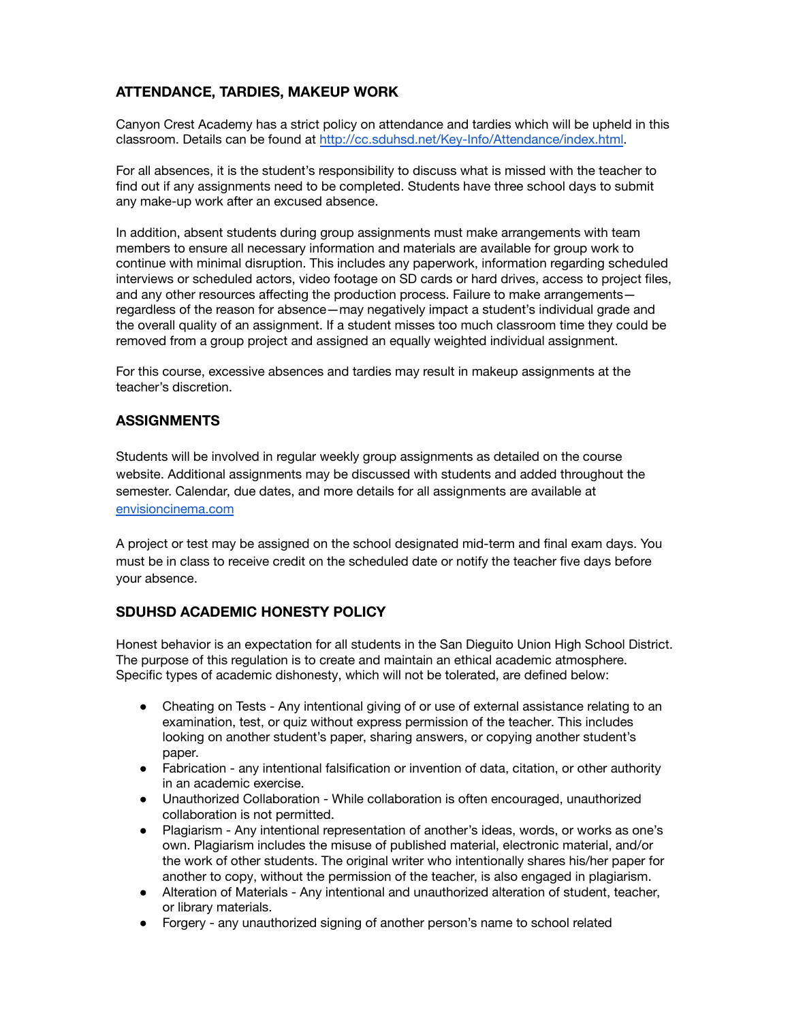# **ATTENDANCE, TARDIES, MAKEUP WORK**

Canyon Crest Academy has a strict policy on attendance and tardies which will be upheld in this classroom. Details can be found at <http://cc.sduhsd.net/Key-Info/Attendance/index.html>.

For all absences, it is the student's responsibility to discuss what is missed with the teacher to find out if any assignments need to be completed. Students have three school days to submit any make-up work after an excused absence.

In addition, absent students during group assignments must make arrangements with team members to ensure all necessary information and materials are available for group work to continue with minimal disruption. This includes any paperwork, information regarding scheduled interviews or scheduled actors, video footage on SD cards or hard drives, access to project files, and any other resources affecting the production process. Failure to make arrangements regardless of the reason for absence—may negatively impact a student's individual grade and the overall quality of an assignment. If a student misses too much classroom time they could be removed from a group project and assigned an equally weighted individual assignment.

For this course, excessive absences and tardies may result in makeup assignments at the teacher's discretion.

# **ASSIGNMENTS**

Students will be involved in regular weekly group assignments as detailed on the course website. Additional assignments may be discussed with students and added throughout the semester. Calendar, due dates, and more details for all assignments are available at [envisioncinema.com](https://www.envisioncinema.com/advanced-videofilm.html)

A project or test may be assigned on the school designated mid-term and final exam days. You must be in class to receive credit on the scheduled date or notify the teacher five days before your absence.

# **SDUHSD ACADEMIC HONESTY POLICY**

Honest behavior is an expectation for all students in the San Dieguito Union High School District. The purpose of this regulation is to create and maintain an ethical academic atmosphere. Specific types of academic dishonesty, which will not be tolerated, are defined below:

- Cheating on Tests Any intentional giving of or use of external assistance relating to an examination, test, or quiz without express permission of the teacher. This includes looking on another student's paper, sharing answers, or copying another student's paper.
- Fabrication any intentional falsification or invention of data, citation, or other authority in an academic exercise.
- Unauthorized Collaboration While collaboration is often encouraged, unauthorized collaboration is not permitted.
- Plagiarism Any intentional representation of another's ideas, words, or works as one's own. Plagiarism includes the misuse of published material, electronic material, and/or the work of other students. The original writer who intentionally shares his/her paper for another to copy, without the permission of the teacher, is also engaged in plagiarism.
- Alteration of Materials Any intentional and unauthorized alteration of student, teacher, or library materials.
- Forgery any unauthorized signing of another person's name to school related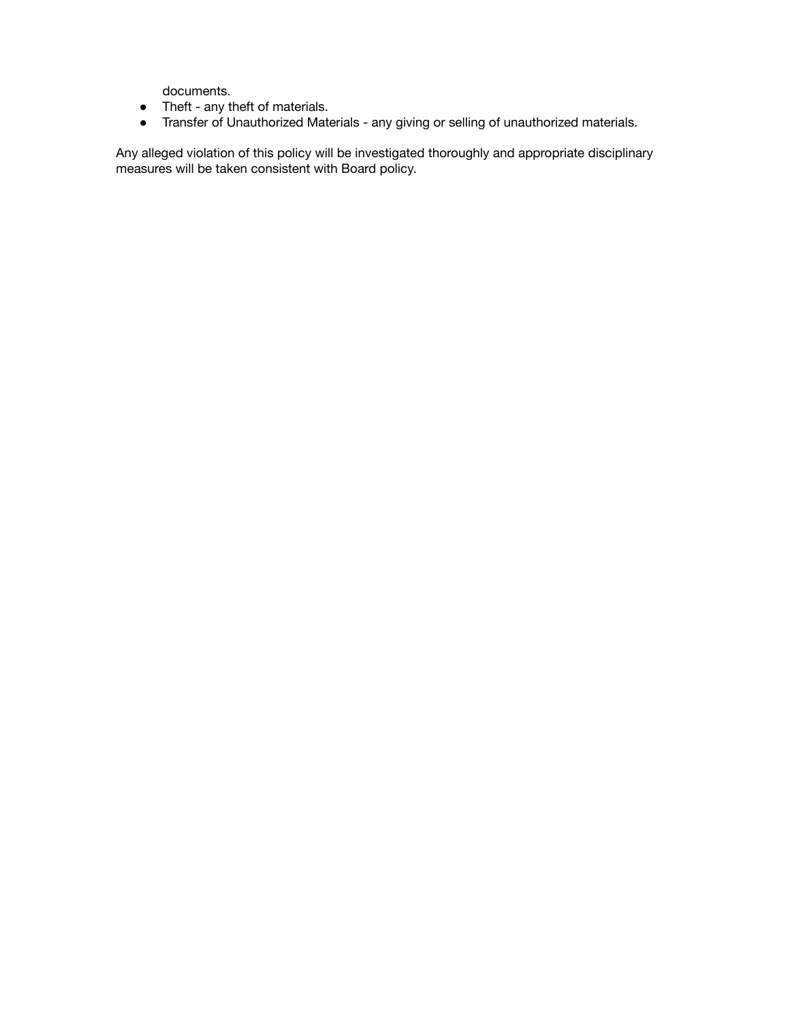documents.

- Theft any theft of materials.
- Transfer of Unauthorized Materials any giving or selling of unauthorized materials.

Any alleged violation of this policy will be investigated thoroughly and appropriate disciplinary measures will be taken consistent with Board policy.